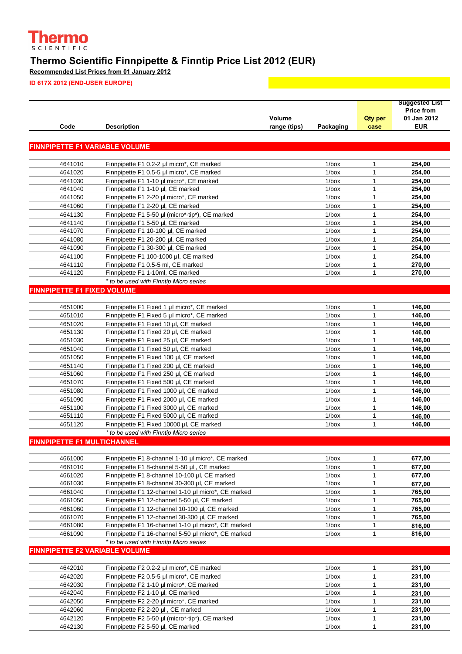

## **Thermo Scientific Finnpipette & Finntip Price List 2012 (EUR)**

**Recommended List Prices from 01 January 2012**

**ID 617X 2012 (END-USER EUROPE)**

|                                       |                                                     |              |           |                | <b>Suggested List</b> |
|---------------------------------------|-----------------------------------------------------|--------------|-----------|----------------|-----------------------|
|                                       |                                                     |              |           |                | <b>Price from</b>     |
|                                       |                                                     | Volume       |           | <b>Qty per</b> | 01 Jan 2012           |
| Code                                  | <b>Description</b>                                  | range (tips) | Packaging | case           | <b>EUR</b>            |
|                                       |                                                     |              |           |                |                       |
| <b>FINNPIPETTE F1 VARIABLE VOLUME</b> |                                                     |              |           |                |                       |
|                                       |                                                     |              |           |                |                       |
| 4641010                               | Finnpipette F1 0.2-2 µl micro*, CE marked           |              | $1/b$ ox  | $\mathbf{1}$   | 254,00                |
| 4641020                               | Finnpipette F1 0.5-5 µl micro*, CE marked           |              | $1/b$ ox  | $\mathbf{1}$   | 254,00                |
| 4641030                               | Finnpipette F1 1-10 µl micro*, CE marked            |              | $1/b$ ox  | $\mathbf{1}$   | 254,00                |
| 4641040                               | Finnpipette F1 1-10 µl, CE marked                   |              | $1/b$ ox  | $\mathbf{1}$   | 254,00                |
| 4641050                               | Finnpipette F1 2-20 µl micro*, CE marked            |              | $1/b$ ox  | $\mathbf{1}$   | 254,00                |
| 4641060                               | Finnpipette F1 2-20 µl, CE marked                   |              | $1/b$ ox  | $\mathbf{1}$   | 254,00                |
| 4641130                               | Finnpipette F1 5-50 µl (micro*-tip*), CE marked     |              | $1/b$ ox  | $\mathbf{1}$   | 254,00                |
| 4641140                               | Finnpipette F1 5-50 µl, CE marked                   |              | $1/b$ ox  | $\mathbf{1}$   | 254,00                |
| 4641070                               | Finnpipette F1 10-100 µl, CE marked                 |              | $1/b$ ox  | $\mathbf{1}$   | 254,00                |
| 4641080                               | Finnpipette F1 20-200 µl, CE marked                 |              | $1/b$ ox  | 1              | 254,00                |
| 4641090                               | Finnpipette F1 30-300 µl, CE marked                 |              | $1/b$ ox  | 1              | 254,00                |
| 4641100                               | Finnpipette F1 100-1000 µl, CE marked               |              | $1/b$ ox  | $\mathbf{1}$   | 254,00                |
| 4641110                               | Finnpipette F1 0.5-5 ml, CE marked                  |              | $1/b$ ox  | $\mathbf{1}$   | 270,00                |
| 4641120                               | Finnpipette F1 1-10ml, CE marked                    |              | $1/b$ ox  | $\mathbf{1}$   | 270,00                |
|                                       | * to be used with Finntip Micro series              |              |           |                |                       |
| <b>FINNPIPETTE F1 FIXED VOLUME</b>    |                                                     |              |           |                |                       |
|                                       |                                                     |              |           |                |                       |
| 4651000                               | Finnpipette F1 Fixed 1 µI micro*, CE marked         |              | $1/b$ ox  | 1              | 146,00                |
| 4651010                               | Finnpipette F1 Fixed 5 µl micro*, CE marked         |              | $1/b$ ox  | $\mathbf{1}$   | 146,00                |
| 4651020                               | Finnpipette F1 Fixed 10 µl, CE marked               |              | $1/b$ ox  | 1              | 146,00                |
| 4651130                               | Finnpipette F1 Fixed 20 µl, CE marked               |              | $1/b$ ox  | 1              | 146,00                |
| 4651030                               | Finnpipette F1 Fixed 25 µl, CE marked               |              | $1/b$ ox  | $\mathbf{1}$   | 146,00                |
| 4651040                               | Finnpipette F1 Fixed 50 µl, CE marked               |              | $1/b$ ox  | $\mathbf{1}$   | 146,00                |
| 4651050                               | Finnpipette F1 Fixed 100 µl, CE marked              |              | $1/b$ ox  | $\mathbf{1}$   | 146,00                |
| 4651140                               | Finnpipette F1 Fixed 200 µl, CE marked              |              | $1/b$ ox  | $\mathbf{1}$   | 146,00                |
| 4651060                               | Finnpipette F1 Fixed 250 µl, CE marked              |              | $1/b$ ox  | $\mathbf{1}$   | 146,00                |
| 4651070                               | Finnpipette F1 Fixed 500 µl, CE marked              |              | $1/b$ ox  | $\mathbf{1}$   | 146,00                |
| 4651080                               | Finnpipette F1 Fixed 1000 µl, CE marked             |              | $1/b$ ox  | $\mathbf{1}$   | 146,00                |
| 4651090                               | Finnpipette F1 Fixed 2000 µI, CE marked             |              | $1/b$ ox  | $\mathbf{1}$   | 146,00                |
| 4651100                               | Finnpipette F1 Fixed 3000 µl, CE marked             |              | $1/b$ ox  | 1              | 146,00                |
| 4651110                               | Finnpipette F1 Fixed 5000 µl, CE marked             |              | $1/b$ ox  | $\mathbf{1}$   | 146.00                |
| 4651120                               | Finnpipette F1 Fixed 10000 µI, CE marked            |              | $1/b$ ox  | $\mathbf{1}$   | 146,00                |
|                                       | * to be used with Finntip Micro series              |              |           |                |                       |
| <b>FINNPIPETTE F1 MULTICHANNEL</b>    |                                                     |              |           |                |                       |
|                                       |                                                     |              |           |                |                       |
| 4661000                               | Finnpipette F1 8-channel 1-10 µl micro*, CE marked  |              | $1/b$ ox  | 1              | 677,00                |
| 4661010                               | Finnpipette F1 8-channel 5-50 µl, CE marked         |              | $1/b$ ox  | $\mathbf{1}$   | 677,00                |
| 4661020                               | Finnpipette F1 8-channel 10-100 µl, CE marked       |              | $1/b$ ox  | $\mathbf{1}$   | 677,00                |
| 4661030                               | Finnpipette F1 8-channel 30-300 µl, CE marked       |              | $1/b$ ox  | $\mathbf{1}$   | 677,00                |
| 4661040                               | Finnpipette F1 12-channel 1-10 µl micro*, CE marked |              | $1/b$ ox  | $\mathbf{1}$   | 765,00                |
| 4661050                               | Finnpipette F1 12-channel 5-50 µl, CE marked        |              | $1/b$ ox  | $\mathbf{1}$   | 765,00                |
| 4661060                               | Finnpipette F1 12-channel 10-100 µl, CE marked      |              | $1/b$ ox  | $\mathbf{1}$   | 765,00                |
| 4661070                               | Finnpipette F1 12-channel 30-300 µl, CE marked      |              | $1/b$ ox  | $\mathbf{1}$   | 765,00                |
| 4661080                               | Finnpipette F1 16-channel 1-10 µl micro*, CE marked |              | $1/b$ ox  | $\mathbf{1}$   | 816,00                |
| 4661090                               | Finnpipette F1 16-channel 5-50 µl micro*, CE marked |              | $1/b$ ox  | $\mathbf{1}$   | 816,00                |
|                                       | * to be used with Finntip Micro series              |              |           |                |                       |
| <b>FINNPIPETTE F2 VARIABLE VOLUME</b> |                                                     |              |           |                |                       |
|                                       |                                                     |              |           |                |                       |
| 4642010                               | Finnpipette F2 0.2-2 µl micro*, CE marked           |              | $1/b$ ox  | $\mathbf{1}$   | 231,00                |
| 4642020                               | Finnpipette F2 0.5-5 µl micro*, CE marked           |              | $1/b$ ox  | $\mathbf{1}$   | 231,00                |
| 4642030                               | Finnpipette F2 1-10 µl micro*, CE marked            |              | $1/b$ ox  | $\mathbf{1}$   | 231,00                |
| 4642040                               | Finnpipette F2 1-10 µl, CE marked                   |              | $1/b$ ox  | $\mathbf{1}$   | 231,00                |
| 4642050                               | Finnpipette F2 2-20 µl micro*, CE marked            |              | $1/b$ ox  | $\mathbf{1}$   | 231,00                |
| 4642060                               | Finnpipette F2 2-20 µl, CE marked                   |              | $1/b$ ox  | $\mathbf{1}$   | 231,00                |
| 4642120                               | Finnpipette F2 5-50 µl (micro*-tip*), CE marked     |              | $1/b$ ox  | $\mathbf{1}$   | 231,00                |
| 4642130                               | Finnpipette F2 5-50 µl, CE marked                   |              | $1/b$ ox  | $\mathbf{1}$   | 231,00                |
|                                       |                                                     |              |           |                |                       |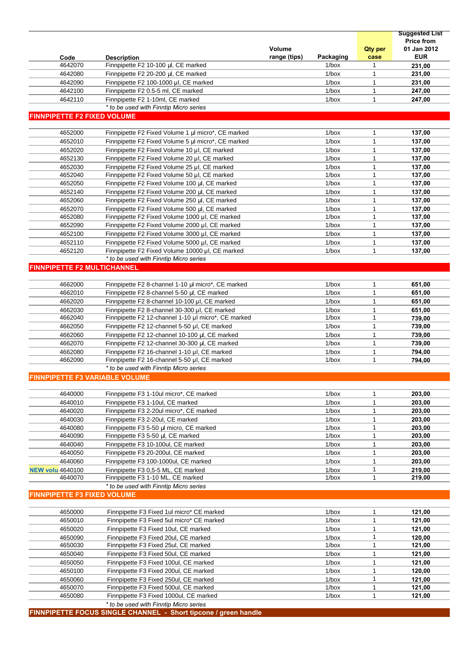|                                       |                                                     |               |           |                | <b>Price from</b> |
|---------------------------------------|-----------------------------------------------------|---------------|-----------|----------------|-------------------|
|                                       |                                                     | <b>Volume</b> |           | <b>Qty per</b> | 01 Jan 2012       |
| Code                                  | <b>Description</b>                                  | range (tips)  | Packaging | case           | <b>EUR</b>        |
| 4642070                               | Finnpipette F2 10-100 µl, CE marked                 |               | $1/b$ ox  | 1              | 231,00            |
| 4642080                               | Finnpipette F2 20-200 µl, CE marked                 |               | $1/b$ ox  | $\mathbf{1}$   | 231,00            |
| 4642090                               | Finnpipette F2 100-1000 µl, CE marked               |               | $1/b$ ox  | $\mathbf{1}$   | 231,00            |
| 4642100                               | Finnpipette F2 0.5-5 ml, CE marked                  |               | $1/b$ ox  | $\mathbf{1}$   | 247,00            |
| 4642110                               | Finnpipette F2 1-10ml, CE marked                    |               | $1/b$ ox  | $\mathbf{1}$   | 247,00            |
|                                       | * to be used with Finntip Micro series              |               |           |                |                   |
| <b>FINNPIPETTE F2 FIXED VOLUME</b>    |                                                     |               |           |                |                   |
| 4652000                               | Finnpipette F2 Fixed Volume 1 µl micro*, CE marked  |               | $1/b$ ox  | $\mathbf{1}$   | 137,00            |
| 4652010                               | Finnpipette F2 Fixed Volume 5 µl micro*, CE marked  |               | $1/b$ ox  | $\mathbf{1}$   | 137.00            |
| 4652020                               | Finnpipette F2 Fixed Volume 10 µl, CE marked        |               | $1/b$ ox  | $\mathbf{1}$   | 137,00            |
| 4652130                               | Finnpipette F2 Fixed Volume 20 µl, CE marked        |               | $1/b$ ox  | $\mathbf{1}$   | 137,00            |
| 4652030                               | Finnpipette F2 Fixed Volume 25 µl, CE marked        |               | $1/b$ ox  | $\mathbf{1}$   | 137,00            |
| 4652040                               | Finnpipette F2 Fixed Volume 50 µI, CE marked        |               | $1/b$ ox  | 1              | 137,00            |
| 4652050                               | Finnpipette F2 Fixed Volume 100 µl, CE marked       |               | $1/b$ ox  | $\mathbf{1}$   | 137,00            |
| 4652140                               | Finnpipette F2 Fixed Volume 200 µl, CE marked       |               | $1/b$ ox  | $\mathbf{1}$   | 137,00            |
| 4652060                               | Finnpipette F2 Fixed Volume 250 µl, CE marked       |               | $1/b$ ox  | $\mathbf{1}$   | 137,00            |
| 4652070                               | Finnpipette F2 Fixed Volume 500 ul. CE marked       |               | $1/b$ ox  | $\mathbf{1}$   | 137,00            |
| 4652080                               | Finnpipette F2 Fixed Volume 1000 µI, CE marked      |               | $1/b$ ox  | 1              | 137,00            |
| 4652090                               | Finnpipette F2 Fixed Volume 2000 µI, CE marked      |               | $1/b$ ox  | $\mathbf{1}$   | 137,00            |
| 4652100                               | Finnpipette F2 Fixed Volume 3000 µI, CE marked      |               | $1/b$ ox  | $\mathbf{1}$   | 137,00            |
| 4652110                               | Finnpipette F2 Fixed Volume 5000 µI, CE marked      |               | $1/b$ ox  | $\mathbf{1}$   | 137,00            |
| 4652120                               | Finnpipette F2 Fixed Volume 10000 µI, CE marked     |               | $1/b$ ox  | $\mathbf{1}$   | 137,00            |
|                                       | * to be used with Finntip Micro series              |               |           |                |                   |
| <b>FINNPIPETTE F2 MULTICHANNEL</b>    |                                                     |               |           |                |                   |
| 4662000                               | Finnpipette F2 8-channel 1-10 µl micro*, CE marked  |               | $1/b$ ox  | $\mathbf{1}$   | 651,00            |
| 4662010                               | Finnpipette F2 8-channel 5-50 µl, CE marked         |               | $1/b$ ox  | $\mathbf{1}$   | 651,00            |
| 4662020                               | Finnpipette F2 8-channel 10-100 µl, CE marked       |               | $1/b$ ox  | $\mathbf{1}$   | 651,00            |
| 4662030                               | Finnpipette F2 8-channel 30-300 µl, CE marked       |               | $1/b$ ox  | 1              | 651,00            |
| 4662040                               | Finnpipette F2 12-channel 1-10 µl micro*, CE marked |               | $1/b$ ox  | $\mathbf{1}$   | 739,00            |
| 4662050                               | Finnpipette F2 12-channel 5-50 µl, CE marked        |               | $1/b$ ox  | $\mathbf{1}$   | 739,00            |
| 4662060                               | Finnpipette F2 12-channel 10-100 µl, CE marked      |               | $1/b$ ox  | $\mathbf{1}$   | 739,00            |
| 4662070                               | Finnpipette F2 12-channel 30-300 µl, CE marked      |               | $1/b$ ox  | $\mathbf{1}$   | 739,00            |
| 4662080                               | Finnpipette F2 16-channel 1-10 µl, CE marked        |               | $1/b$ ox  | 1              | 794,00            |
| 4662090                               | Finnpipette F2 16-channel 5-50 µl, CE marked        |               | $1/b$ ox  | $\mathbf{1}$   | 794.00            |
|                                       | * to be used with Finntip Micro series              |               |           |                |                   |
| <b>FINNPIPETTE F3 VARIABLE VOLUME</b> |                                                     |               |           |                |                   |
| 4640000                               | Finnpipette F3 1-10ul micro*, CE marked             |               | $1/b$ ox  | 1              | 203,00            |
| 4640010                               | Finnpipette F3 1-10ul, CE marked                    |               | $1/b$ ox  | 1              | 203,00            |
| 4640020                               | Finnpipette F3 2-20ul micro*, CE marked             |               | $1/b$ ox  | $\mathbf{1}$   | 203,00            |
| 4640030                               | Finnpipette F3 2-20ul, CE marked                    |               | $1/b$ ox  | $\mathbf{1}$   | 203,00            |
| 4640080                               | Finnpipette F3 5-50 µl micro, CE marked             |               | $1/b$ ox  | 1              | 203,00            |
| 4640090                               | Finnpipette F3 5-50 µl, CE marked                   |               | $1/b$ ox  | 1              | 203,00            |
| 4640040                               | Finnpipette F3 10-100ul, CE marked                  |               | $1/b$ ox  | $\mathbf{1}$   | 203,00            |
| 4640050                               | Finnpipette F3 20-200ul, CE marked                  |               | $1/b$ ox  | $\mathbf{1}$   | 203,00            |
| 4640060                               | Finnpipette F3 100-1000ul, CE marked                |               | $1/b$ ox  | $\mathbf{1}$   | 203,00            |
|                                       | Finnpipette F3 0,5-5 ML, CE marked                  |               | $1/b$ ox  | 1              | 219,00            |
| <b>NEW volu</b> 4640100<br>4640070    | Finnpipette F3 1-10 ML, CE marked                   |               | $1/b$ ox  | 1              | 219,00            |
|                                       | * to be used with Finntip Micro series              |               |           |                |                   |
| <b>FINNPIPETTE F3 FIXED VOLUME</b>    |                                                     |               |           |                |                   |
|                                       |                                                     |               |           |                |                   |
| 4650000                               | Finnpipette F3 Fixed 1ul micro* CE marked           |               | $1/b$ ox  | $\mathbf{1}$   | 121,00            |
| 4650010                               | Finnpipette F3 Fixed 5ul micro* CE marked           |               | $1/b$ ox  | 1              | 121,00            |
| 4650020                               | Finnpipette F3 Fixed 10ul, CE marked                |               | $1/b$ ox  | $\mathbf{1}$   | 121,00            |
| 4650090                               | Finnpipette F3 Fixed 20ul, CE marked                |               | $1/b$ ox  | 1              | 120,00            |
| 4650030                               | Finnpipette F3 Fixed 25ul, CE marked                |               | $1/b$ ox  | $\mathbf{1}$   | 121,00            |
| 4650040                               | Finnpipette F3 Fixed 50ul, CE marked                |               | $1/b$ ox  | $\mathbf{1}$   | 121,00            |
| 4650050                               | Finnpipette F3 Fixed 100ul, CE marked               |               | $1/b$ ox  | 1              | 121,00            |
| 4650100                               | Finnpipette F3 Fixed 200ul, CE marked               |               | $1/b$ ox  | $\mathbf{1}$   | 120,00            |
| 4650060                               | Finnpipette F3 Fixed 250ul, CE marked               |               | $1/b$ ox  | 1              | 121,00            |
| 4650070                               | Finnpipette F3 Fixed 500ul, CE marked               |               | $1/b$ ox  | $\mathbf{1}$   | 121,00            |
| 4650080                               | Finnpipette F3 Fixed 1000ul, CE marked              |               | $1/b$ ox  | 1              | 121,00            |
|                                       | * to be used with Finntip Micro series              |               |           |                |                   |

**Suggested List**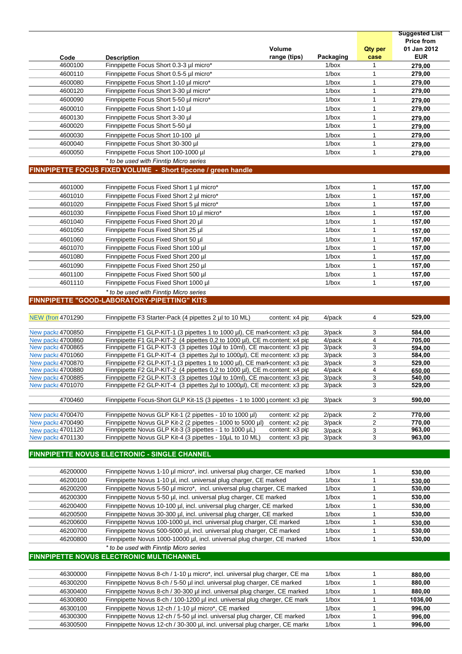|                                               |                                                                                                                                                           |                 |                      |                                           | <b>Suggested List</b><br><b>Price from</b> |
|-----------------------------------------------|-----------------------------------------------------------------------------------------------------------------------------------------------------------|-----------------|----------------------|-------------------------------------------|--------------------------------------------|
|                                               |                                                                                                                                                           | Volume          |                      | <b>Qty per</b>                            | 01 Jan 2012                                |
| Code                                          | <b>Description</b>                                                                                                                                        | range (tips)    | Packaging            | case                                      | <b>EUR</b>                                 |
| 4600100                                       | Finnpipette Focus Short 0.3-3 µl micro*                                                                                                                   |                 | $1/b$ ox             | $\overline{1}$                            | 279,00                                     |
| 4600110                                       | Finnpipette Focus Short 0.5-5 µl micro*                                                                                                                   |                 | 1/box                | $\overline{1}$                            | 279,00                                     |
| 4600080                                       | Finnpipette Focus Short 1-10 µl micro*                                                                                                                    |                 | $1/b$ ox             | $\overline{1}$                            | 279,00                                     |
| 4600120                                       | Finnpipette Focus Short 3-30 µl micro*                                                                                                                    |                 | 1/box                | $\overline{1}$                            | 279,00                                     |
| 4600090                                       | Finnpipette Focus Short 5-50 µl micro*                                                                                                                    |                 | $1/b$ ox             | $\overline{1}$                            | 279,00                                     |
| 4600010                                       | Finnpipette Focus Short 1-10 µl                                                                                                                           |                 | 1/box                | $\overline{1}$                            | 279,00                                     |
| 4600130                                       | Finnpipette Focus Short 3-30 µl                                                                                                                           |                 | 1/box                | $\overline{1}$                            | 279,00                                     |
| 4600020                                       | Finnpipette Focus Short 5-50 µl                                                                                                                           |                 | 1/box                | $\overline{1}$                            | 279,00                                     |
| 4600030                                       | Finnpipette Focus Short 10-100 µl                                                                                                                         |                 | 1/box                | $\overline{1}$                            | 279,00                                     |
| 4600040<br>4600050                            | Finnpipette Focus Short 30-300 µl<br>Finnpipette Focus Short 100-1000 µl                                                                                  |                 | $1/b$ ox<br>$1/b$ ox | $\overline{1}$<br>$\overline{\mathbf{1}}$ | 279,00                                     |
|                                               | * to be used with Finntip Micro series                                                                                                                    |                 |                      |                                           | 279,00                                     |
|                                               | FINNPIPETTE FOCUS FIXED VOLUME - Short tipcone / green handle                                                                                             |                 |                      |                                           |                                            |
|                                               |                                                                                                                                                           |                 |                      |                                           |                                            |
| 4601000                                       | Finnpipette Focus Fixed Short 1 µl micro*                                                                                                                 |                 | 1/box                | $\overline{1}$                            | 157,00                                     |
| 4601010                                       | Finnpipette Focus Fixed Short 2 µl micro*                                                                                                                 |                 | $1/b$ ox             | $\overline{1}$                            | 157,00                                     |
| 4601020                                       | Finnpipette Focus Fixed Short 5 µl micro*                                                                                                                 |                 | 1/box                | $\overline{1}$                            | 157,00                                     |
| 4601030                                       | Finnpipette Focus Fixed Short 10 µl micro*                                                                                                                |                 | 1/box                | $\overline{1}$                            | 157,00                                     |
| 4601040                                       | Finnpipette Focus Fixed Short 20 µl                                                                                                                       |                 | 1/box                | $\overline{1}$                            | 157,00                                     |
| 4601050                                       | Finnpipette Focus Fixed Short 25 µl                                                                                                                       |                 | 1/box                | $\overline{1}$                            | 157,00                                     |
| 4601060                                       | Finnpipette Focus Fixed Short 50 µl                                                                                                                       |                 | 1/box                | $\overline{1}$                            | 157,00                                     |
| 4601070                                       | Finnpipette Focus Fixed Short 100 µl                                                                                                                      |                 | 1/box                | $\overline{1}$                            | 157,00                                     |
| 4601080                                       | Finnpipette Focus Fixed Short 200 µl                                                                                                                      |                 | $1/b$ ox             | $\overline{1}$                            | 157,00                                     |
| 4601090                                       | Finnpipette Focus Fixed Short 250 µl                                                                                                                      |                 | 1/box                | $\overline{1}$                            | 157,00                                     |
| 4601100                                       | Finnpipette Focus Fixed Short 500 µl                                                                                                                      |                 | $1/b$ ox             | $\overline{\mathbf{1}}$                   | 157,00                                     |
| 4601110                                       | Finnpipette Focus Fixed Short 1000 µl                                                                                                                     |                 | $1/b$ ox             | $\overline{1}$                            | 157,00                                     |
|                                               | * to be used with Finntip Micro series                                                                                                                    |                 |                      |                                           |                                            |
|                                               | FINNPIPETTE "GOOD-LABORATORY-PIPETTING" KITS                                                                                                              |                 |                      |                                           |                                            |
| <b>NEW (from 4701290)</b>                     | Finnpipette F3 Starter-Pack (4 pipettes 2 µl to 10 ML)                                                                                                    | content: x4 pip | 4/pack               | $\overline{4}$                            | 529,00                                     |
|                                               |                                                                                                                                                           |                 |                      |                                           |                                            |
| <b>New packs 4700850</b>                      | Finnpipette F1 GLP-KIT-1 (3 pipettes 1 to 1000 µl), CE mark content: x3 pip                                                                               |                 | 3/pack               | $\overline{\mathbf{3}}$                   | 584,00                                     |
| New packs 4700860                             | Finnpipette F1 GLP-KIT-2 (4 pipettes 0.2 to 1000 µl), CE m content: x4 pip                                                                                |                 | 4/pack               | $\overline{4}$                            | 705,00                                     |
| New packs 4700865                             | Finnpipette F1 GLP-KIT-3 (3 pipettes 10µl to 10ml), CE marcontent: x3 pip                                                                                 |                 | 3/pack               | $\mathbf{3}$                              | 594,00                                     |
| <b>New packs 4701060</b>                      | Finnpipette F1 GLP-KIT-4 (3 pipettes 2ul to 1000ul), CE macontent: x3 pip                                                                                 |                 | 3/pack               | 3                                         | 584,00                                     |
| <b>New packs 4700870</b>                      | Finnpipette F2 GLP-KIT-1 (3 pipettes 1 to 1000 µI), CE mark content: x3 pip<br>Finnpipette F2 GLP-KIT-2 (4 pipettes 0,2 to 1000 µl), CE m content: x4 pip |                 | 3/pack<br>4/pack     | $\overline{4}$                            | 529,00                                     |
| <b>New packs 4700880</b><br>New packs 4700885 | Finnpipette F2 GLP-KIT-3 (3 pipettes 10µl to 10ml), CE marcontent: x3 pip                                                                                 |                 | 3/pack               |                                           | 650,00<br>540,00                           |
| <b>New packs 4701070</b>                      | Finnpipette F2 GLP-KIT-4 (3 pipettes 2ul to 1000ul), CE macontent: x3 pip                                                                                 |                 | 3/pack               | ્વ                                        | 529,00                                     |
|                                               |                                                                                                                                                           |                 |                      |                                           |                                            |
| 4700460                                       | Finnpipette Focus-Short GLP Kit-1S (3 pipettes - 1 to 1000 µ content: x3 pip                                                                              |                 | 3/pack               | $\overline{3}$                            | 590,00                                     |
|                                               |                                                                                                                                                           |                 |                      |                                           |                                            |
| <b>New packs 4700470</b>                      | Finnpipette Novus GLP Kit-1 (2 pipettes - 10 to 1000 µl)                                                                                                  | content: x2 pip | 2/pack               | $\overline{2}$                            | 770,00                                     |
| <b>New packs 4700490</b><br>New packs 4701120 | Finnpipette Novus GLP Kit-2 (2 pipettes - 1000 to 5000 µl) content: x2 pip<br>Finnpipette Novus GLP Kit-3 (3 pipettes - 1 to 1000 µL)                     | content: x3 pip | 3/pack<br>3/pack     | $\overline{2}$<br>$\mathcal{B}$           | 770,00<br>963,00                           |
| New packs 4701130                             | Finnpipette Novus GLP Kit-4 (3 pipettes - 10uL to 10 ML)                                                                                                  | content: x3 pip | 3/pack               | 3                                         | 963,00                                     |
|                                               |                                                                                                                                                           |                 |                      |                                           |                                            |
|                                               | FINNPIPETTE NOVUS ELECTRONIC - SINGLE CHANNEL                                                                                                             |                 |                      |                                           |                                            |
|                                               |                                                                                                                                                           |                 |                      |                                           |                                            |
| 46200000                                      | Finnpipette Novus 1-10 µl micro*, incl. universal plug charger, CE marked                                                                                 |                 | $1/b$ ox             | $\overline{1}$                            | 530,00                                     |
| 46200100                                      | Finnpipette Novus 1-10 µl, incl. universal plug charger, CE marked                                                                                        |                 | $1/b$ ox             | $\overline{1}$                            | 530,00                                     |
| 46200200                                      | Finnpipette Novus 5-50 µl micro*, incl. universal plug charger, CE marked                                                                                 |                 | $1/b$ ox             | $\overline{1}$                            | 530,00                                     |
| 46200300                                      | Finnpipette Novus 5-50 µl, incl. universal plug charger, CE marked                                                                                        |                 | $1/b$ ox             | $\overline{1}$                            | 530,00                                     |
| 46200400                                      | Finnpipette Novus 10-100 µl, incl. universal plug charger, CE marked                                                                                      |                 | 1/box                | $\overline{1}$                            | 530,00                                     |
| 46200500                                      | Finnpipette Novus 30-300 µl, incl. universal plug charger, CE marked                                                                                      |                 | 1/box                | $\overline{1}$                            | 530,00                                     |
| 46200600                                      | Finnpipette Novus 100-1000 µl, incl. universal plug charger, CE marked                                                                                    |                 | 1/box                | $\overline{1}$                            | 530,00                                     |
| 46200700                                      | Finnpipette Novus 500-5000 µl, incl. universal plug charger, CE marked                                                                                    |                 | $1/b$ ox             | $\overline{1}$                            | 530,00                                     |
| 46200800                                      | Finnpipette Novus 1000-10000 µl, incl. universal plug charger, CE marked                                                                                  |                 | $1/b$ ox             | $\overline{1}$                            | 530,00                                     |
|                                               | * to be used with Finntip Micro series                                                                                                                    |                 |                      |                                           |                                            |
|                                               | FINNPIPETTE NOVUS ELECTRONIC MULTICHANNEL                                                                                                                 |                 |                      |                                           |                                            |
|                                               |                                                                                                                                                           |                 |                      |                                           |                                            |
| 46300000                                      | Finnpipette Novus 8-ch / 1-10 µ micro*, incl. universal plug charger, CE ma                                                                               |                 | $1/b$ ox             | $\overline{1}$                            | 880,00                                     |
| 46300200                                      | Finnpipette Novus 8-ch / 5-50 µl incl. universal plug charger, CE marked                                                                                  |                 | 1/box                | $\overline{1}$                            | 880,00                                     |
| 46300400                                      | Finnpipette Novus 8-ch / 30-300 µl incl. universal plug charger, CE marked                                                                                |                 | 1/box                | $\overline{1}$                            | 880,00                                     |
| 46300800                                      | Finnpipette Novus 8-ch / 100-1200 µl incl. universal plug charger, CE mark                                                                                |                 | $1/b$ ox             | $\overline{1}$                            | 1036,00                                    |
| 46300100<br>46300300                          | Finnpipette Novus 12-ch / 1-10 µl micro*, CE marked<br>Finnpipette Novus 12-ch / 5-50 µl incl. universal plug charger, CE marked                          |                 | $1/b$ ox<br>$1/b$ ox | $\overline{1}$<br>$\overline{1}$          | 996,00                                     |
| 46300500                                      | Finnpipette Novus 12-ch / 30-300 µl, incl. universal plug charger, CE marke                                                                               |                 | 1/box                | $\overline{1}$                            | 996,00<br>996,00                           |
|                                               |                                                                                                                                                           |                 |                      |                                           |                                            |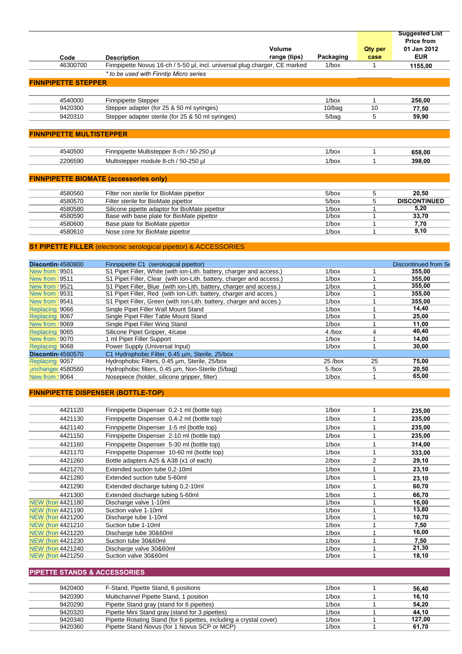|                                 | Volume                                                                                     |                      | <b>Qty per</b>    | <b>Suggested List</b><br><b>Price from</b><br>01 Jan 2012 |
|---------------------------------|--------------------------------------------------------------------------------------------|----------------------|-------------------|-----------------------------------------------------------|
| Code                            | range (tips)<br><b>Description</b>                                                         | Packaging            | case              | <b>EUR</b>                                                |
| 46300700                        | Finnpipette Novus 16-ch / 5-50 µl, incl. universal plug charger, CE marked                 | $1/b$ ox             | $\mathbf{1}$      | 1155,00                                                   |
|                                 | * to be used with Finntip Micro series                                                     |                      |                   |                                                           |
| <b>FINNPIPETTE STEPPER</b>      |                                                                                            |                      |                   |                                                           |
|                                 |                                                                                            |                      |                   |                                                           |
| 4540000                         | <b>Finnpipette Stepper</b>                                                                 | $1/b$ ox             | $\mathbf{1}$      | 256,00                                                    |
| 9420300                         | Stepper adapter (for 25 & 50 ml syringes)                                                  | $10/b$ ag            | 10                | 77,50                                                     |
| 9420310                         | Stepper adapter sterile (for 25 & 50 ml syringes)                                          | 5/bag                | 5                 | 59,90                                                     |
|                                 |                                                                                            |                      |                   |                                                           |
| <b>FINNPIPETTE MULTISTEPPER</b> |                                                                                            |                      |                   |                                                           |
|                                 |                                                                                            |                      |                   |                                                           |
| 4540500                         | Finnpipette Multistepper 8-ch / 50-250 µl                                                  | $1/b$ ox             | $\mathbf{1}$      |                                                           |
|                                 |                                                                                            |                      |                   | 658,00                                                    |
| 2206590                         | Multistepper module 8-ch / 50-250 µl                                                       | $1/b$ ox             | $\mathbf{1}$      | 398,00                                                    |
|                                 |                                                                                            |                      |                   |                                                           |
|                                 | <b>FINNPIPETTE BIOMATE (accessories only)</b>                                              |                      |                   |                                                           |
|                                 |                                                                                            |                      |                   |                                                           |
| 4580560                         | Filter non sterile for BioMate pipettor                                                    | $5/b$ ox             | 5                 | 20,50                                                     |
| 4580570                         | Filter sterile for BioMate pipettor                                                        | $5/b$ ox             | 5                 | <b>DISCONTINUED</b>                                       |
| 4580580<br>4580590              | Silicone pipette adaptor for BioMate pipettor<br>Base with base plate for BioMate pipettor | $1/b$ ox<br>$1/b$ ox | $\mathbf{1}$<br>1 | 5,20<br>33,70                                             |
| 4580600                         | Base plate for BioMate pipettor                                                            | $1/b$ ox             | $\mathbf{1}$      | 7,70                                                      |
| 4580610                         | Nose cone for BioMate pipettor                                                             | $1/b$ ox             | $\mathbf{1}$      | 9,10                                                      |
|                                 |                                                                                            |                      |                   |                                                           |
|                                 | <b>S1 PIPETTE FILLER</b> (electronic serological pipettor) & ACCESSORIES                   |                      |                   |                                                           |
|                                 |                                                                                            |                      |                   |                                                           |
| Discontin 4580800               | Finnpipette C1 (serological pipettor)                                                      |                      |                   | Discontinued from Se                                      |
| <b>New from \9501</b>           | S1 Pipet Filler, White (with ion-Lith. battery, charger and access.)                       | $1/b$ ox             | 1                 | 355,00                                                    |
| New from \9511                  | S1 Pipet Filler, Clear (with ion-Lith. battery, charger and access.)                       | $1/b$ ox             | $\mathbf{1}$      | 355,00                                                    |
| <b>New from \9521</b>           | S1 Pipet Filler, Blue (with ion-Lith. battery, charger and access.)                        | $1/b$ ox             | $\mathbf{1}$      | 355,00                                                    |
| <b>New from \9531</b>           | S1 Pipet Filler, Red (with Ion-Lith. battery, charger and acces.)                          | $1/b$ ox             | $\mathbf{1}$      | 355,00                                                    |
| New from \9541                  | S1 Pipet Filler, Green (with Ion-Lith. battery, charger and acces.)                        | $1/b$ ox             | $\mathbf{1}$      | 355,00                                                    |
| Replacing 9066                  | Single Pipet Filler Wall Mount Stand                                                       | $1/b$ ox             | $\mathbf{1}$      | 14,40                                                     |
| Replacing 9067                  | Single Pipet Filler Table Mount Stand                                                      | $1/b$ ox             | $\mathbf{1}$      | 25,00                                                     |
| New from \9069                  | Single Pipet Filler Wing Stand                                                             | $1/b$ ox             | $\mathbf{1}$      | 11,00                                                     |
| Replacing 9065                  | Silicone Pipet Gripper, 4/case                                                             | $4$ /box             | $\overline{4}$    | 40,40                                                     |
| New from \9070                  | 1 ml Pipet Filler Support                                                                  | $1/b$ ox             | $\mathbf{1}$      | 14,00                                                     |
| Replacing 9068                  | Power Supply (Universal Input)                                                             | $1/b$ ox             | $\mathbf{1}$      | 30,00                                                     |
| Discontin 4580570               | C1 Hydrophobic Filter, 0.45 um, Sterile, 25/box                                            |                      |                   |                                                           |
| Replacing 9057                  | Hydrophobic Filters, 0.45 µm, Sterile, 25/box                                              | $25$ /box            | 25                | 75,00                                                     |
| unchanged 4580560               | Hydrophobic filters, 0.45 um, Non-Sterile (5/bag)                                          | $5$ /box             | 5                 | 20,50<br>65,00                                            |
| New from \9064                  | Nosepiece (holder, silicone gripper, filter)                                               | $1/h$ ox             | $\overline{1}$    |                                                           |
|                                 |                                                                                            |                      |                   |                                                           |
|                                 | <b>FINNPIPETTE DISPENSER (BOTTLE-TOP)</b>                                                  |                      |                   |                                                           |
|                                 |                                                                                            |                      |                   |                                                           |
| 4421120                         | Finnpipette Dispenser 0,2-1 ml (bottle top)                                                | $1/b$ ox             | $\mathbf{1}$      | 235,00                                                    |
| 4421130                         | Finnpipette Dispenser 0,4-2 ml (bottle top)                                                | $1/b$ ox             | $\mathbf{1}$      | 235,00                                                    |
| 4421140                         | Finnpipette Dispenser 1-5 ml (bottle top)                                                  | $1/b$ ox             | $\mathbf{1}$      | 235,00                                                    |
| 4421150                         | Finnpipette Dispenser 2-10 ml (bottle top)                                                 | $1/b$ ox             | $\mathbf{1}$      | 235,00                                                    |
| 4421160                         | Finnpipette Dispenser 5-30 ml (bottle top)                                                 | $1/b$ ox             | $\mathbf{1}$      | 314,00                                                    |
| 4421170                         | Finnpipette Dispenser 10-60 ml (bottle top)                                                | $1/b$ ox             | $\mathbf{1}$      | 333,00                                                    |
| 4421260                         | Bottle adapters A25 & A38 (x1 of each)                                                     | $2/b$ ox             | $\overline{2}$    | 29,10                                                     |
| 4421270                         | Extended suction tube 0,2-10ml                                                             | $1/b$ ox             | $\mathbf{1}$      | 23,10                                                     |
| 4421280                         | Extended suction tube 5-60ml                                                               | $1/b$ ox             | $\mathbf{1}$      | 23,10                                                     |
| 4421290                         | Extended discharge tubing 0,2-10ml                                                         | $1/b$ ox             | $\mathbf{1}$      | 60,70                                                     |
| 4421300                         | Extended discharge tubing 5-60ml                                                           | $1/b$ ox             | $\mathbf{1}$      | 66,70                                                     |
| <b>NEW (from 4421180)</b>       | Discharge valve 1-10ml                                                                     | $1/b$ ox             | $\mathbf{1}$      | 16,00                                                     |
| <b>NEW (from 4421190)</b>       | Suction valve 1-10ml                                                                       | $1/b$ ox             | $\mathbf{1}$      | 13,80                                                     |
| <b>NEW (from 4421200)</b>       | Discharge tube 1-10ml                                                                      | $1/b$ ox             | $\mathbf{1}$      | 10,70                                                     |
| <b>NEW (from 4421210)</b>       | Suction tube 1-10ml                                                                        | $1/b$ ox             | $\mathbf{1}$      | 7,50                                                      |

NEW (from 4421210 Suction tube 1-10ml<br>
NEW (from 4421220 Discharge tube 30&60ml 1/box 1 16,00<br>
NEW (from 4421230 Suction tube 30&60ml 1/box 1 7,50<br>
NEW (from 4421240 Discharge valve 30&60ml 1/box 1 21,30 NEW (from 4421230 Suction tube 30&60ml 1/box 1<br>NEW (from 4421240 Discharge valve 30&60ml 1/box 1 NEW (from 4421240 Discharge valve 30&60ml 1/box 1 21,30<br>NEW (from 4421250 Suction valve 30&60ml 1/box 1 18,10 Suction valve 30&60ml **PIPETTE STANDS & ACCESSORIES**

| 9420400 | F-Stand, Pipette Stand, 6 positions                                | 1/box    | 56.40  |
|---------|--------------------------------------------------------------------|----------|--------|
| 9420390 | Multichannel Pipette Stand, 1 position                             | 1/box    | 16.10  |
| 9420290 | Pipette Stand gray (stand for 6 pipettes)                          | 1/box    | 54.20  |
| 9420320 | Pipette Mini Stand gray (stand for 3 pipettes)                     | 1/box    | 44.10  |
| 9420340 | Pipette Rotating Stand (for 6 pipettes, including a crystal cover) | $1/b$ ox | 127,00 |
| 9420360 | Pipette Stand Novus (for 1 Novus SCP or MCP)                       | 1/box    | 61.70  |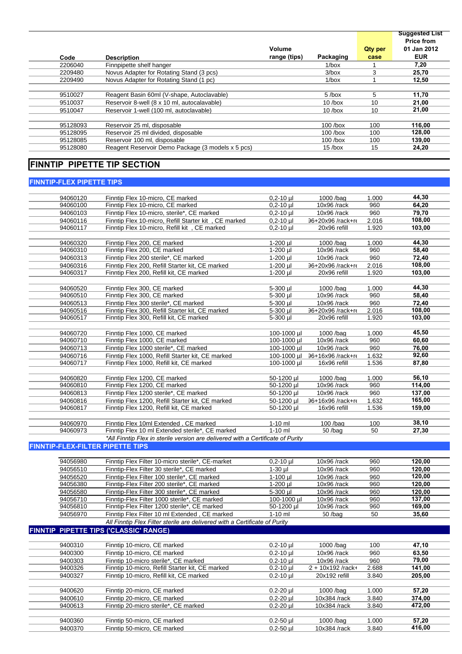|          |                                                   |              |            |                | <b>Suggested List</b> |
|----------|---------------------------------------------------|--------------|------------|----------------|-----------------------|
|          |                                                   |              |            |                | <b>Price from</b>     |
|          |                                                   | Volume       |            | <b>Qty per</b> | 01 Jan 2012           |
| Code     | <b>Description</b>                                | range (tips) | Packaging  | case           | <b>EUR</b>            |
| 2206040  | Finnpipette shelf hanger                          |              | $1/b$ ox   |                | 7,20                  |
| 2209480  | Novus Adapter for Rotating Stand (3 pcs)          |              | $3/b$ ox   | 3              | 25,70                 |
| 2209490  | Novus Adapter for Rotating Stand (1 pc)           |              | $1/b$ ox   |                | 12.50                 |
|          |                                                   |              |            |                |                       |
| 9510027  | Reagent Basin 60ml (V-shape, Autoclavable)        |              | $5$ /box   | 5              | 11,70                 |
| 9510037  | Reservoir 8-well (8 x 10 ml, autocalavable)       |              | $10$ /box  | 10             | 21,00                 |
| 9510047  | Reservoir 1-well (100 ml. autoclavable)           |              | $10$ /box  | 10             | 21,00                 |
|          |                                                   |              |            |                |                       |
| 95128093 | Reservoir 25 ml, disposable                       |              | $100$ /box | 100            | 116,00                |
| 95128095 | Reservoir 25 ml divided, disposable               |              | $100$ /box | 100            | 128,00                |
| 95128085 | Reservoir 100 ml, disposable                      |              | $100$ /box | 100            | 139,00                |
| 95128080 | Reagent Reservoir Demo Package (3 models x 5 pcs) |              | $15$ /box  | 15             | 24,20                 |
|          |                                                   |              |            |                |                       |

#### **FINNTIP PIPETTE TIP SECTION**

#### **FINNTIP-FLEX PIPETTE TIPS**

| 94060120 | Finntip Flex 10-micro, CE marked                                                | $0,2 - 10$ µl | $1000$ /bag         | 1.000 | 44,30  |
|----------|---------------------------------------------------------------------------------|---------------|---------------------|-------|--------|
| 94060100 | Finntip Flex 10-micro, CE marked                                                | $0,2 - 10$ µl | 10x96 /rack         | 960   | 64,20  |
| 94060103 | Finntip Flex 10-micro, sterile*, CE marked                                      | $0,2 - 10$ µl | $10x96$ /rack       | 960   | 79,70  |
| 94060116 | Finntip Flex 10-micro, Refill Starter kit, CE marked                            | $0.2 - 10$ µl | 36+20x96 /rack+re   | 2.016 | 108,00 |
| 94060117 | Finntip Flex 10-micro, Refill kit, CE marked                                    | $0,2-10$ µl   | 20x96 refill        | 1.920 | 103,00 |
|          |                                                                                 |               |                     |       |        |
| 94060320 | Finntip Flex 200, CE marked                                                     | $1-200$ µl    | 1000 /bag           | 1.000 | 44,30  |
| 94060310 | Finntip Flex 200, CE marked                                                     | 1-200 µl      | 10x96 /rack         | 960   | 58,40  |
| 94060313 | Finntip Flex 200 sterile*, CE marked                                            | 1-200 µl      | 10x96 /rack         | 960   | 72,40  |
| 94060316 | Finntip Flex 200, Refill Starter kit, CE marked                                 | 1-200 µl      | 36+20x96 /rack+re   | 2.016 | 108,00 |
| 94060317 | Finntip Flex 200, Refill kit, CE marked                                         | $1-200$ µl    | 20x96 refill        | 1.920 | 103,00 |
|          |                                                                                 |               |                     |       |        |
| 94060520 | Finntip Flex 300, CE marked                                                     | 5-300 µl      | $1000$ /bag         | 1.000 | 44,30  |
| 94060510 | Finntip Flex 300, CE marked                                                     | 5-300 µl      | 10x96 /rack         | 960   | 58,40  |
| 94060513 | Finntip Flex 300 sterile*, CE marked                                            | 5-300 µl      | $10x96$ /rack       | 960   | 72,40  |
| 94060516 | Finntip Flex 300, Refill Starter kit, CE marked                                 | 5-300 µl      | 36+20x96 /rack+re   | 2.016 | 108,00 |
| 94060517 | Finntip Flex 300, Refill kit, CE marked                                         | 5-300 µl      | 20x96 refill        | 1.920 | 103,00 |
|          |                                                                                 |               |                     |       |        |
| 94060720 | Finntip Flex 1000, CE marked                                                    | 100-1000 µl   | 1000 /bag           | 1.000 | 45,50  |
| 94060710 | Finntip Flex 1000, CE marked                                                    | 100-1000 µl   | 10x96 /rack         | 960   | 60,60  |
| 94060713 | Finntip Flex 1000 sterile*, CE marked                                           | 100-1000 µl   | 10x96 /rack         | 960   | 76,00  |
| 94060716 | Finntip Flex 1000, Refill Starter kit, CE marked                                | 100-1000 µl   | 36+16x96 /rack+re   | 1.632 | 92,60  |
| 94060717 | Finntip Flex 1000, Refill kit, CE marked                                        | 100-1000 µl   | 16x96 refill        | 1.536 | 87,80  |
|          |                                                                                 |               |                     |       |        |
| 94060820 | Finntip Flex 1200, CE marked                                                    | 50-1200 µl    | 1000 /bag           | 1.000 | 56,10  |
| 94060810 | Finntip Flex 1200, CE marked                                                    | 50-1200 µl    | 10x96 /rack         | 960   | 114,00 |
| 94060813 | Finntip Flex 1200 sterile*, CE marked                                           | 50-1200 µl    | 10x96 /rack         | 960   | 137.00 |
| 94060816 | Finntip Flex 1200, Refill Starter kit, CE marked                                | 50-1200 µl    | 36+16x96 /rack+re   | 1.632 | 165,00 |
| 94060817 | Finntip Flex 1200, Refill kit, CE marked                                        | 50-1200 µl    | 16x96 refill        | 1.536 | 159,00 |
|          |                                                                                 |               |                     |       |        |
| 94060970 | Finntip Flex 10ml Extended, CE marked                                           | $1-10$ ml     | $100$ /bag          | 100   | 38,10  |
| 94060973 | Finntip Flex 10 ml Extended sterile*, CE marked                                 | $1-10$ ml     | $50$ /bag           | 50    | 27,30  |
|          | *All Finntip Flex in sterile version are delivered with a Certificate of Purity |               |                     |       |        |
|          | <b>FINNTIP-FLEX-FILTER PIPETTE TIPS</b>                                         |               |                     |       |        |
|          |                                                                                 |               |                     |       |        |
| 94056980 | Finntip Flex Filter 10-micro sterile*, CE-market                                | $0,2-10$ µ    | 10x96 /rack         | 960   | 120,00 |
| 94056510 | Finntip-Flex Filter 30 sterile*, CE marked                                      | $1-30$ µl     | $10x96$ /rack       | 960   | 120,00 |
| 94056520 | Finntip-Flex Filter 100 sterile*, CE marked                                     | 1-100 ul      | 10x96 /rack         | 960   | 120,00 |
| 94056380 | Finntip-Flex Filter 200 sterile*, CE marked                                     | $1-200$ µl    | 10x96 /rack         | 960   | 120,00 |
| 94056580 | Finntip-Flex Filter 300 sterile*, CE marked                                     | 5-300 µl      | 10x96 /rack         | 960   | 120.00 |
| 94056710 | Finntip-Flex Filter 1000 sterile*, CE marked                                    | 100-1000 µl   | 10x96 /rack         | 960   | 137,00 |
| 94056810 | Finntip-Flex Filter 1200 sterile*, CE marked                                    | 50-1200 µl    | $10x96$ /rack       | 960   | 169,00 |
| 94056970 | Finntip Flex Filter 10 ml Extended, CE marked                                   | $1-10$ ml     | $50$ /bag           | 50    | 35,60  |
|          | All Finntip Flex Filter sterile are delivered with a Certificate of Purity      |               |                     |       |        |
|          | FINNTIP PIPETTE TIPS ('CLASSIC' RANGE)                                          |               |                     |       |        |
|          |                                                                                 |               |                     |       |        |
| 9400310  | Finntip 10-micro, CE marked                                                     | $0.2 - 10$ µl | 1000 /bag           | 100   | 47,10  |
| 9400300  | Finntip 10-micro, CE marked                                                     | $0.2 - 10$ µl | 10x96 /rack         | 960   | 63,50  |
| 9400303  | Finntip 10-micro sterile*, CE marked                                            | $0.2 - 10$ µl | 10x96 /rack         | 960   | 79,00  |
| 9400326  | Finntip 10-micro, Refill Starter kit, CE marked                                 | $0.2 - 10$ µl | $2 + 10x192$ /rack+ | 2.688 | 141,00 |
| 9400327  | Finntip 10-micro, Refill kit, CE marked                                         | $0.2 - 10$ µl | 20x192 refill       | 3.840 | 205,00 |
|          |                                                                                 |               |                     |       |        |
| 9400620  | Finntip 20-micro, CE marked                                                     | $0.2 - 20$ µl | 1000 /bag           | 1.000 | 57,20  |
| 9400610  | Finntip 20-micro, CE marked                                                     | $0.2 - 20$ µl | 10x384 /rack        | 3.840 | 374,00 |
| 9400613  | Finntip 20-micro sterile*, CE marked                                            | $0.2 - 20$ µl | 10x384 /rack        | 3.840 | 472,00 |
|          |                                                                                 |               |                     |       |        |
| 9400360  | Finntip 50-micro, CE marked                                                     | $0.2 - 50$ µl | 1000 /bag           | 1.000 | 57,20  |
| 9400370  | Finntip 50-micro, CE marked                                                     | $0.2 - 50$ µl | 10x384 /rack        | 3.840 | 416,00 |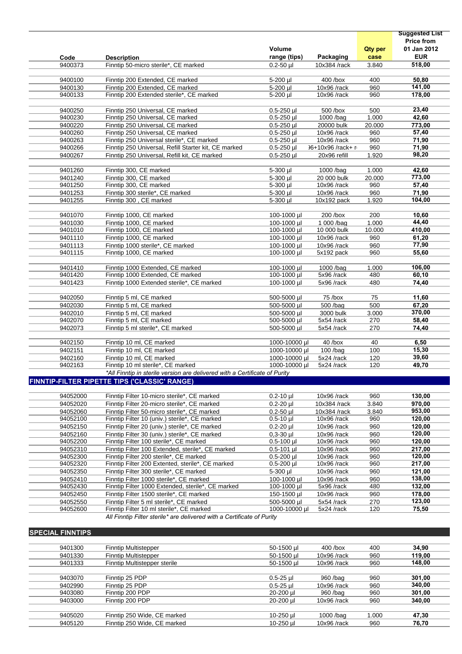|                         |                                                                                                |                                |                                |                  | <b>Suggested List</b> |
|-------------------------|------------------------------------------------------------------------------------------------|--------------------------------|--------------------------------|------------------|-----------------------|
|                         |                                                                                                |                                |                                |                  | <b>Price from</b>     |
|                         |                                                                                                | Volume                         |                                | <b>Qty per</b>   | 01 Jan 2012           |
| Code                    | <b>Description</b>                                                                             | range (tips)                   | Packaging                      | case             | <b>EUR</b>            |
| 9400373                 | Finntip 50-micro sterile*, CE marked                                                           | $0.2 - 50$ µl                  | 10x384 /rack                   | 3.840            | 518,00                |
|                         |                                                                                                |                                |                                |                  |                       |
| 9400100                 | Finntip 200 Extended, CE marked                                                                | 5-200 µl                       | 400 /box                       | 400              | 50,80                 |
| 9400130                 | Finntip 200 Extended, CE marked                                                                | 5-200 ul                       | 10x96 /rack                    | 960              | 141,00                |
| 9400133                 | Finntip 200 Extended sterile*, CE marked                                                       | 5-200 µl                       | 10x96 /rack                    | 960              | 178,00                |
| 9400250                 | Finntip 250 Universal, CE marked                                                               | $0.5 - 250$ µl                 | 500 /box                       | 500              | 23,40                 |
| 9400230                 | Finntip 250 Universal, CE marked                                                               | $0.5 - 250$ µl                 | 1000 /bag                      | 1.000            | 42,60                 |
| 9400220                 | Finntip 250 Universal, CE marked                                                               | $0.5 - 250$ µl                 | 20000 bulk                     | 20.000           | 773,00                |
| 9400260                 | Finntip 250 Universal, CE marked                                                               | $0.5 - 250$ µl                 | 10x96 /rack                    | 960              | 57,40                 |
| 9400263                 | Finntip 250 Universal sterile*, CE marked                                                      | $0.5 - 250$ µl                 | 10x96 /rack                    | 960              | 71,90                 |
| 9400266                 | Finntip 250 Universal, Refill Starter kit, CE marked                                           | $0.5 - 250$ µl                 | 16+10x96 /rack+ r              | 960              | 71,90                 |
| 9400267                 | Finntip 250 Universal, Refill kit, CE marked                                                   | $0.5 - 250$ µl                 | 20x96 refill                   | 1.920            | 98,20                 |
|                         |                                                                                                |                                |                                |                  |                       |
| 9401260                 | Finntip 300, CE marked                                                                         | 5-300 µl                       | 1000 /bag                      | 1.000            | 42,60                 |
| 9401240                 | Finntip 300, CE marked                                                                         | 5-300 µl                       | 20 000 bulk                    | 20.000           | 773,00                |
| 9401250                 | Finntip 300, CE marked                                                                         | 5-300 µl                       | 10x96 /rack                    | 960              | 57,40                 |
| 9401253                 | Finntip 300 sterile*, CE marked                                                                | 5-300 µl                       | 10x96 /rack                    | 960              | 71,90                 |
| 9401255                 | Finntip 300, CE marked                                                                         | 5-300 µl                       | 10x192 pack                    | 1.920            | 104,00                |
|                         |                                                                                                |                                |                                |                  |                       |
| 9401070                 | Finntip 1000, CE marked                                                                        | 100-1000 µl                    | 200 /box                       | 200              | 10,60                 |
| 9401030                 | Finntip 1000, CE marked                                                                        | 100-1000 ul                    | $1000$ /bag                    | 1.000            | 44,40                 |
| 9401010                 | Finntip 1000, CE marked                                                                        | 100-1000 µl                    | 10 000 bulk                    | 10.000           | 410,00                |
| 9401110                 | Finntip 1000, CE marked                                                                        | 100-1000 µl                    | 10x96 /rack                    | 960              | 61,20                 |
| 9401113                 | Finntip 1000 sterile*, CE marked                                                               | 100-1000 ul                    | 10x96 /rack                    | 960<br>960       | 77,90                 |
| 9401115                 | Finntip 1000, CE marked                                                                        | 100-1000 µl                    | 5x192 pack                     |                  | 55,60                 |
| 9401410                 | Finntip 1000 Extended, CE marked                                                               | 100-1000 µl                    | 1000 /bag                      | 1.000            | 106,00                |
| 9401420                 | Finntip 1000 Extended, CE marked                                                               | 100-1000 µl                    | 5x96 /rack                     | 480              | 60,10                 |
| 9401423                 | Finntip 1000 Extended sterile*, CE marked                                                      | 100-1000 µl                    | 5x96 /rack                     | 480              | 74,40                 |
|                         |                                                                                                |                                |                                |                  |                       |
| 9402050                 | Finntip 5 ml, CE marked                                                                        | 500-5000 µl                    | 75 /box                        | 75               | 11,60                 |
| 9402030                 | Finntip 5 ml, CE marked                                                                        | 500-5000 µl                    | 500 /bag                       | 500              | 67,20                 |
| 9402010                 | Finntip 5 ml, CE marked                                                                        | 500-5000 µl                    | 3000 bulk                      | 3.000            | 370,00                |
| 9402070                 | Finntip 5 ml, CE marked                                                                        | 500-5000 µl                    | 5x54 /rack                     | 270              | 58,40                 |
| 9402073                 | Finntip 5 ml sterile*, CE marked                                                               | 500-5000 µl                    | 5x54 /rack                     | 270              | 74,40                 |
|                         |                                                                                                |                                |                                |                  |                       |
| 9402150                 | Finntip 10 ml, CE marked                                                                       | 1000-10000 µl                  | $40$ /box                      | 40               | 6,50                  |
| 9402151                 | Finntip 10 ml, CE marked                                                                       | 1000-10000 µl                  | $100$ /bag                     | 100              | 15,30                 |
| 9402160                 | Finntip 10 ml, CE marked                                                                       | 1000-10000 ul                  | 5x24 /rack                     | 120              | 39,60                 |
| 9402163                 | Finntip 10 ml sterile*, CE marked                                                              | 1000-10000 µl                  | 5x24 /rack                     | 120              | 49,70                 |
|                         | *All Finntip in sterile version are delivered with a Certificate of Purity                     |                                |                                |                  |                       |
|                         | FINNTIP-FILTER PIPETTE TIPS ('CLASSIC' RANGE)                                                  |                                |                                |                  |                       |
|                         |                                                                                                |                                |                                |                  |                       |
| 94052000                | Finntip Filter 10-micro sterile*, CE marked                                                    | $0.2 - 10$ µl                  | 10x96 /rack                    | 960              | 130,00                |
| 94052020                | Finntip Filter 20-micro sterile*, CE marked                                                    | $0.2 - 20$ µl                  | 10x384 /rack                   | 3.840            | 970,00                |
| 94052060<br>94052100    | Finntip Filter 50-micro sterile*, CE marked<br>Finntip Filter 10 (univ.) sterile*, CE marked   | $0.2 - 50$ ul<br>$0.5 - 10$ µl | 10x384 /rack<br>10x96 /rack    | 3.840<br>960     | 953,00<br>120,00      |
| 94052150                |                                                                                                |                                |                                | 960              | 120,00                |
| 94052160                | Finntip Filter 20 (univ.) sterile*, CE marked<br>Finntip Filter 30 (univ.) sterile*, CE marked | $0.2 - 20$ µl<br>$0.3 - 30$ µ  | $10x96$ /rack<br>$10x96$ /rack | 960              | 120,00                |
| 94052200                | Finntip Filter 100 sterile*, CE marked                                                         | $0.5 - 100$ µl                 | 10x96 /rack                    | 960              | 120,00                |
| 94052310                | Finntip Filter 100 Extended, sterile*, CE marked                                               | $0.5 - 101$ µl                 | 10x96 /rack                    | 960              | 217,00                |
| 94052300                | Finntip Filter 200 sterile*, CE marked                                                         | $0.5 - 200$ µl                 | $10x96$ /rack                  | 960              | 120,00                |
| 94052320                | Finntip Filter 200 Extented, sterile*, CE marked                                               | $0.5 - 200$ µl                 | 10x96 /rack                    | 960              | 217,00                |
| 94052350                | Finntip Filter 300 sterile*, CE marked                                                         | 5-300 µl                       | 10x96 /rack                    | 960              | 121,00                |
| 94052410                | Finntip Filter 1000 sterile*, CE marked                                                        | 100-1000 µl                    | 10x96 /rack                    | 960              | 138,00                |
| 94052430                | Finntip Filter 1000 Extended, sterile*, CE marked                                              | $100 - 1000$ µl                | 5x96/rack                      | 480              | 132,00                |
| 94052450                | Finntip Filter 1500 sterile*, CE marked                                                        | 150-1500 µl                    | 10x96 /rack                    | 960              | 178,00                |
| 94052550                | Finntip Filter 5 ml sterile*, CE marked                                                        | 500-5000 µl                    | 5x54 /rack                     | 270              | 123,00                |
| 94052600                | Finntip Filter 10 ml sterile*, CE marked                                                       | 1000-10000 µl                  | 5x24 /rack                     | 120              | 75,50                 |
|                         | All Finntip Filter sterile* are delivered with a Certificate of Purity                         |                                |                                |                  |                       |
|                         |                                                                                                |                                |                                |                  |                       |
| <b>SPECIAL FINNTIPS</b> |                                                                                                |                                |                                |                  |                       |
|                         |                                                                                                |                                |                                |                  |                       |
| 0.101200                | Einntin Multiptonnou                                                                           | $E_O$ $1E_O$ $H$               | $100$ $h$                      | $\overline{100}$ | 24.00                 |

| 9401300 | <b>Finntip Multistepper</b>  | 50-1500 µl    | $400$ /box    | 400   | 34,90  |
|---------|------------------------------|---------------|---------------|-------|--------|
| 9401330 | <b>Finntip Multistepper</b>  | 50-1500 µl    | $10x96$ /rack | 960   | 119,00 |
| 9401333 | Finntip Multistepper sterile | 50-1500 ul    | $10x96$ /rack | 960   | 148,00 |
|         |                              |               |               |       |        |
| 9403070 | Finntip 25 PDP               | $0.5 - 25$ ul | 960 /bag      | 960   | 301,00 |
| 9402990 | Finntip 25 PDP               | $0.5 - 25$ ul | $10x96$ /rack | 960   | 340,00 |
| 9403080 | Finntip 200 PDP              | 20-200 µl     | 960 /bag      | 960   | 301,00 |
| 9403000 | Finntip 200 PDP              | 20-200 µl     | $10x96$ /rack | 960   | 340,00 |
|         |                              |               |               |       |        |
| 9405020 | Finntip 250 Wide, CE marked  | 10-250 µl     | $1000$ /bag   | 1.000 | 47,30  |
| 9405120 | Finntip 250 Wide, CE marked  | 10-250 ul     | $10x96$ /rack | 960   | 76,70  |